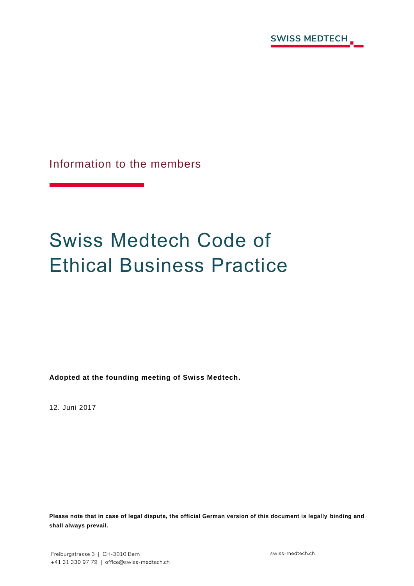

Information to the members

# Swiss Medtech Code of Ethical Business Practice

**Adopted at the founding meeting of Swiss Medtech.**

12. Juni 2017

**Please note that in case of legal dispute, the official German version of this document is legally binding and shall always prevail.**

swiss-medtech.ch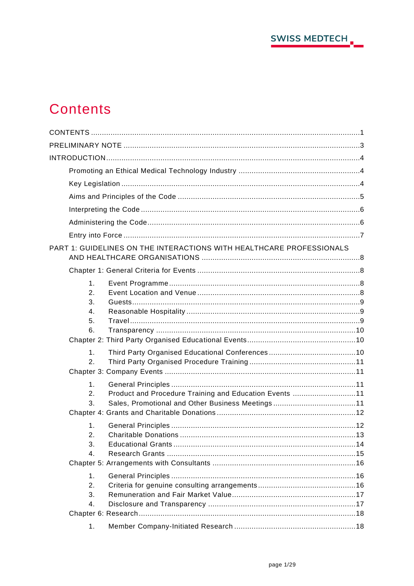

# <span id="page-1-0"></span>**Contents**

|                      | PART 1: GUIDELINES ON THE INTERACTIONS WITH HEALTHCARE PROFESSIONALS |  |
|----------------------|----------------------------------------------------------------------|--|
|                      |                                                                      |  |
| 1 <sub>1</sub><br>2. |                                                                      |  |
| 3.<br>4.             |                                                                      |  |
| 5.                   |                                                                      |  |
| 6.                   |                                                                      |  |
| 1.                   |                                                                      |  |
| 2.                   |                                                                      |  |
|                      |                                                                      |  |
| 1.                   |                                                                      |  |
| 2.<br>3.             | Product and Procedure Training and Education Events 11               |  |
|                      |                                                                      |  |
| $\mathbf 1$ .        |                                                                      |  |
| 2.                   |                                                                      |  |
| 3.                   |                                                                      |  |
| 4.                   |                                                                      |  |
|                      |                                                                      |  |
| 1 <sub>1</sub>       |                                                                      |  |
| 2.<br>3.             |                                                                      |  |
| 4.                   |                                                                      |  |
|                      |                                                                      |  |
| 1.                   |                                                                      |  |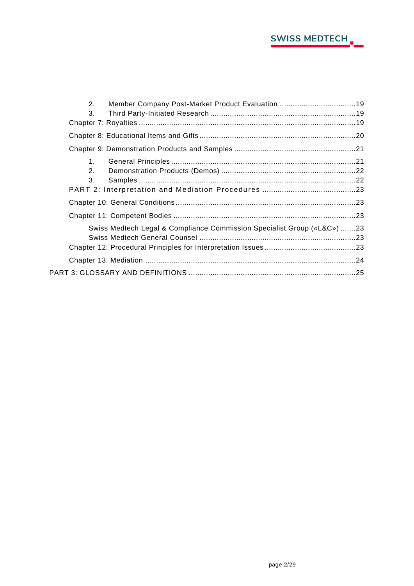

| 2.                                                                      | Member Company Post-Market Product Evaluation 19 |  |  |
|-------------------------------------------------------------------------|--------------------------------------------------|--|--|
| 3.                                                                      |                                                  |  |  |
|                                                                         |                                                  |  |  |
|                                                                         |                                                  |  |  |
|                                                                         |                                                  |  |  |
| 1 <sup>1</sup>                                                          |                                                  |  |  |
| 2.                                                                      |                                                  |  |  |
| 3.                                                                      |                                                  |  |  |
|                                                                         |                                                  |  |  |
|                                                                         |                                                  |  |  |
|                                                                         |                                                  |  |  |
| Swiss Medtech Legal & Compliance Commission Specialist Group («L&C») 23 |                                                  |  |  |
|                                                                         |                                                  |  |  |
|                                                                         |                                                  |  |  |
|                                                                         |                                                  |  |  |
|                                                                         |                                                  |  |  |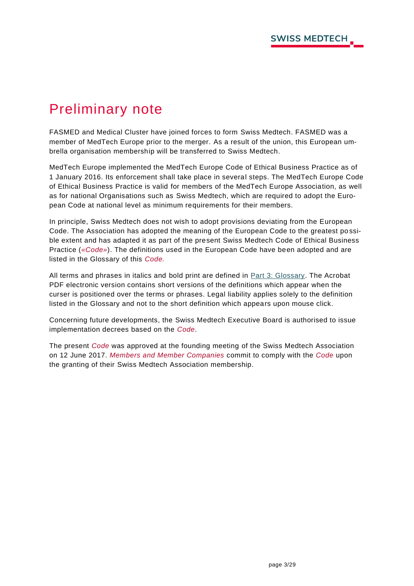# <span id="page-3-0"></span>Preliminary note

FASMED and Medical Cluster have joined forces to form Swiss Medtech. FASMED was a member of MedTech Europe prior to the merger. As a result of the union, this European umbrella organisation membership will be transferred to Swiss Medtech.

MedTech Europe implemented the MedTech Europe Code of Ethical Business Practice as of 1 January 2016. Its enforcement shall take place in several steps. The MedTech Europe Code of Ethical Business Practice is valid for members of the MedTech Europe Association, as well as for national Organisations such as Swiss Medtech, which are required to adopt the European Code at national level as minimum requirements for their members.

In principle, Swiss Medtech does not wish to adopt provisions deviating from the European Code. The Association has adopted the meaning of the European Code to the greatest po ssible extent and has adapted it as part of the present Swiss Medtech Code of Ethical Business Practice (*«Code»*). The definitions used in the European Code have been adopted and are listed in the Glossary of this *Code.*

All terms and phrases in italics and bold print are defined in [Part 3: Glossary.](#page-25-0) The Acrobat PDF electronic version contains short versions of the definitions which appear when the curser is positioned over the terms or phrases. Legal liability applies solely to the definition listed in the Glossary and not to the short definition which appears upon mouse click.

Concerning future developments, the Swiss Medtech Executive Board is authorised to issue implementation decrees based on the *Code*.

The present *Code* was approved at the founding meeting of the Swiss Medtech Association on 12 June 2017. *Members and Member Companies* commit to comply with the *Code* upon the granting of their Swiss Medtech Association membership.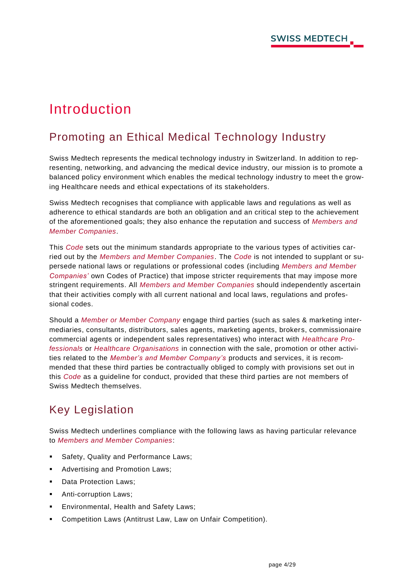# <span id="page-4-0"></span>Introduction

# <span id="page-4-1"></span>Promoting an Ethical Medical Technology Industry

Swiss Medtech represents the medical technology industry in Switzerland. In addition to representing, networking, and advancing the medical device industry, our mission is to promote a balanced policy environment which enables the medical technology industry to meet th e growing Healthcare needs and ethical expectations of its stakeholders.

Swiss Medtech recognises that compliance with applicable laws and regulations as well as adherence to ethical standards are both an obligation and an critical step to the achievement of the aforementioned goals; they also enhance the reputation and success of *Members and Member Companies*.

This *Code* sets out the minimum standards appropriate to the various types of activities carried out by the *Members and Member Companies*. The *Code* is not intended to supplant or supersede national laws or regulations or professional codes (including *Members and Member Companies'* own Codes of Practice) that impose stricter requirements that may impose more stringent requirements. All *Members and Member Companies* should independently ascertain that their activities comply with all current national and local laws, regulations and professional codes.

Should a *Member or Member Company* engage third parties (such as sales & marketing intermediaries, consultants, distributors, sales agents, marketing agents, brokers, commissionaire commercial agents or independent sales representatives) who interact with *Healthcare Professionals* or *Healthcare Organisations* in connection with the sale, promotion or other activities related to the *Member's and Member Company's* products and services, it is recommended that these third parties be contractually obliged to comply with provisions set out in this *Code* as a guideline for conduct, provided that these third parties are not members of Swiss Medtech themselves.

# <span id="page-4-2"></span>Key Legislation

Swiss Medtech underlines compliance with the following laws as having particular relevance to *Members and Member Companies*:

- Safety, Quality and Performance Laws;
- Advertising and Promotion Laws;
- Data Protection Laws;
- Anti-corruption Laws;
- **Environmental, Health and Safety Laws;**
- Competition Laws (Antitrust Law, Law on Unfair Competition).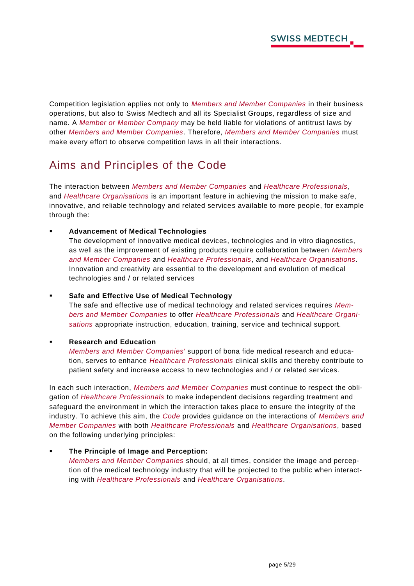Competition legislation applies not only to *Members and Member Companies* in their business operations, but also to Swiss Medtech and all its Specialist Groups, regardless of size and name. A *Member or Member Company* may be held liable for violations of antitrust laws by other *Members and Member Companies*. Therefore, *Members and Member Companies* must make every effort to observe competition laws in all their interactions.

# <span id="page-5-0"></span>Aims and Principles of the Code

The interaction between *Members and Member Companies* and *Healthcare Professionals*, and *Healthcare Organisations* is an important feature in achieving the mission to make safe, innovative, and reliable technology and related services available to more people, for example through the:

▪ **Advancement of Medical Technologies**

The development of innovative medical devices, technologies and in vitro diagnostics, as well as the improvement of existing products require collaboration between *Members and Member Companies* and *Healthcare Professionals*, and *Healthcare Organisations*. Innovation and creativity are essential to the development and evolution of medical technologies and / or related services

#### ▪ **Safe and Effective Use of Medical Technology**

The safe and effective use of medical technology and related services requires *Members and Member Companies* to offer *Healthcare Professionals* and *Healthcare Organisations* appropriate instruction, education, training, service and technical support.

#### **Research and Education**

*Members and Member Companies'* support of bona fide medical research and education, serves to enhance *Healthcare Professionals* clinical skills and thereby contribute to patient safety and increase access to new technologies and / or related services.

In each such interaction, *Members and Member Companies* must continue to respect the obligation of *Healthcare Professionals* to make independent decisions regarding treatment and safeguard the environment in which the interaction takes place to ensure the integrity of the industry. To achieve this aim, the *Code* provides guidance on the interactions of *Members and Member Companies* with both *Healthcare Professionals* and *Healthcare Organisations*, based on the following underlying principles:

#### **The Principle of Image and Perception:**

*Members and Member Companies* should, at all times, consider the image and perception of the medical technology industry that will be projected to the public when interacting with *Healthcare Professionals* and *Healthcare Organisations*.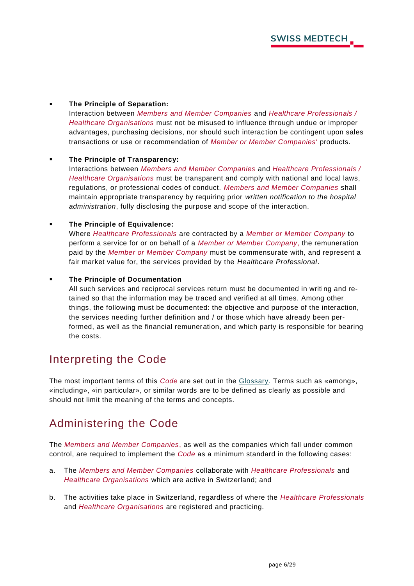#### **The Principle of Separation:**

Interaction between *Members and Member Companies* and *Healthcare Professionals / Healthcare Organisations* must not be misused to influence through undue or improper advantages, purchasing decisions, nor should such interaction be contingent upon sales transactions or use or recommendation of *Member or Member Companies'* products.

#### **The Principle of Transparency:**

Interactions between *Members and Member Companies* and *Healthcare Professionals / Healthcare Organisations* must be transparent and comply with national and local laws, regulations, or professional codes of conduct. *Members and Member Companies* shall maintain appropriate transparency by requiring prior *written notification to the hospital administration*, fully disclosing the purpose and scope of the interaction.

#### ▪ **The Principle of Equivalence:**

Where *Healthcare Professionals* are contracted by a *Member or Member Company* to perform a service for or on behalf of a *Member or Member Company*, the remuneration paid by the *Member or Member Company* must be commensurate with, and represent a fair market value for, the services provided by the *Healthcare Professional*.

#### ▪ **The Principle of Documentation**

All such services and reciprocal services return must be documented in writing and retained so that the information may be traced and verified at all times. Among other things, the following must be documented: the objective and purpose of the interaction, the services needing further definition and / or those which have already been performed, as well as the financial remuneration, and which party is responsible for bearing the costs.

### <span id="page-6-0"></span>Interpreting the Code

The most important terms of this *Code* are set out in the [Glossary.](#page-25-0) Terms such as «among», «including», «in particular», or similar words are to be defined as clearly as possible and should not limit the meaning of the terms and concepts.

### <span id="page-6-1"></span>Administering the Code

The *Members and Member Companies*, as well as the companies which fall under common control, are required to implement the *Code* as a minimum standard in the following cases:

- a. The *Members and Member Companies* collaborate with *Healthcare Professionals* and *Healthcare Organisations* which are active in Switzerland; and
- b. The activities take place in Switzerland, regardless of where the *Healthcare Professionals* and *Healthcare Organisations* are registered and practicing.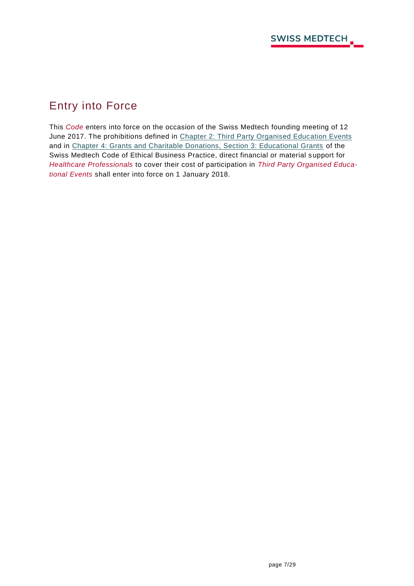# <span id="page-7-0"></span>Entry into Force

This *Code* enters into force on the occasion of the Swiss Medtech founding meeting of 12 June 2017. The prohibitions defined in [Chapter 2: Third Party Organised Education Events](#page-10-1) and in [Chapter 4: Grants and Charitable Donations, Section 3: Educational Grants](#page-14-0) of the Swiss Medtech Code of Ethical Business Practice, direct financial or material support for *Healthcare Professionals* to cover their cost of participation in *Third Party Organised Educational Events* shall enter into force on 1 January 2018.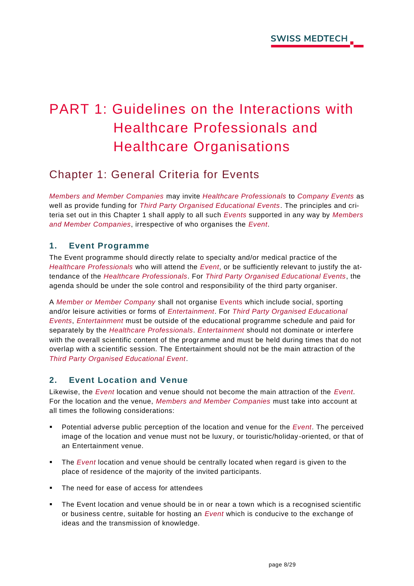# <span id="page-8-0"></span>PART 1: Guidelines on the Interactions with Healthcare Professionals and Healthcare Organisations

## <span id="page-8-1"></span>Chapter 1: General Criteria for Events

*Members and Member Companies* may invite *Healthcare Professionals* to *Company Events* as well as provide funding for *Third Party Organised Educational Events*. The principles and criteria set out in this Chapter 1 shall apply to all such *Events* supported in any way by *Members and Member Companies*, irrespective of who organises the *Event*.

#### <span id="page-8-2"></span>**1. Event Programme**

The Event programme should directly relate to specialty and/or medical practice of the *Healthcare Professionals* who will attend the *Event*, or be sufficiently relevant to justify the attendance of the *Healthcare Professionals*. For *Third Party Organised Educational Events*, the agenda should be under the sole control and responsibility of the third party organiser.

A *Member or Member Company* shall not organise Events which include social, sporting and/or leisure activities or forms of *Entertainment*. For *Third Party Organised Educational Events*, *Entertainment* must be outside of the educational programme schedule and paid for separately by the *Healthcare Professionals*. *Entertainment* should not dominate or interfere with the overall scientific content of the programme and must be held during times that do not overlap with a scientific session. The Entertainment should not be the main attraction of the *Third Party Organised Educational Event*.

#### <span id="page-8-3"></span>**2. Event Location and Venue**

Likewise, the *Event* location and venue should not become the main attraction of the *Event*. For the location and the venue, *Members and Member Companies* must take into account at all times the following considerations:

- Potential adverse public perception of the location and venue for the *Event*. The perceived image of the location and venue must not be luxury, or touristic/holiday -oriented, or that of an Entertainment venue.
- The *Event* location and venue should be centrally located when regard is given to the place of residence of the majority of the invited participants.
- The need for ease of access for attendees
- The Event location and venue should be in or near a town which is a recognised scientific or business centre, suitable for hosting an *Event* which is conducive to the exchange of ideas and the transmission of knowledge.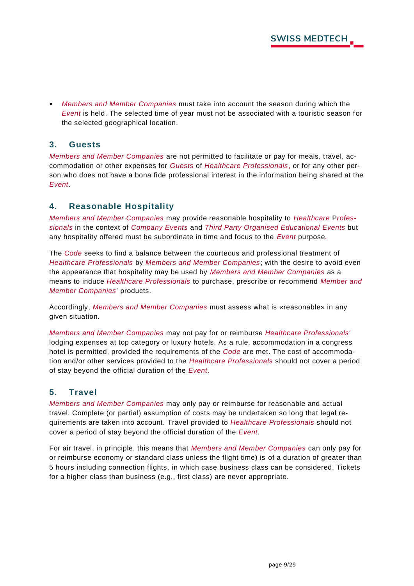▪ *Members and Member Companies* must take into account the season during which the *Event* is held. The selected time of year must not be associated with a touristic season for the selected geographical location.

#### <span id="page-9-0"></span>**3. Guests**

*Members and Member Companies* are not permitted to facilitate or pay for meals, travel, accommodation or other expenses for *Guests* of *Healthcare Professionals*, or for any other person who does not have a bona fide professional interest in the information being shared at the *Event*.

#### <span id="page-9-1"></span>**4. Reasonable Hospitality**

*Members and Member Companies* may provide reasonable hospitality to *Healthcare* P*rofessionals* in the context of *Company Events* and *Third Party Organised Educational Events* but any hospitality offered must be subordinate in time and focus to the *Event* purpose*.* 

The *Code* seeks to find a balance between the courteous and professional treatment of *Healthcare Professionals* by *Members and Member Companies*; with the desire to avoid even the appearance that hospitality may be used by *Members and Member Companies* as a means to induce *Healthcare Professionals* to purchase, prescribe or recommend *Member and Member Companies*' products.

Accordingly, *Members and Member Companies* must assess what is «reasonable» in any given situation.

*Members and Member Companies* may not pay for or reimburse *Healthcare Professionals'*  lodging expenses at top category or luxury hotels. As a rule, accommodation in a congress hotel is permitted, provided the requirements of the *Code* are met. The cost of accommodation and/or other services provided to the *Healthcare Professionals* should not cover a period of stay beyond the official duration of the *Event*.

#### <span id="page-9-2"></span>**5. Travel**

*Members and Member Companies* may only pay or reimburse for reasonable and actual travel. Complete (or partial) assumption of costs may be undertaken so long that legal requirements are taken into account. Travel provided to *Healthcare Professionals* should not cover a period of stay beyond the official duration of the *Event*.

For air travel, in principle, this means that *Members and Member Companies* can only pay for or reimburse economy or standard class unless the flight time) is of a duration of greater than 5 hours including connection flights, in which case business class can be considered. Tickets for a higher class than business (e.g., first class) are never appropriate.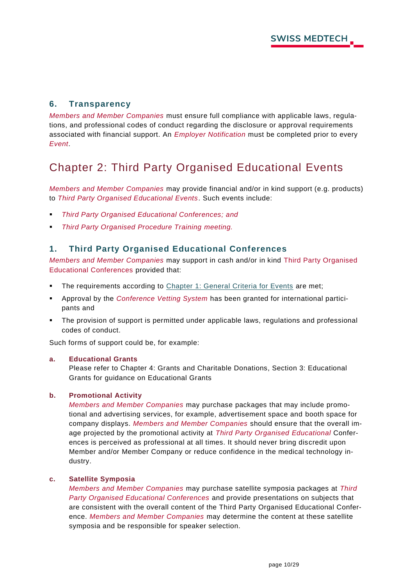#### <span id="page-10-0"></span>**6. Transparency**

*Members and Member Companies* must ensure full compliance with applicable laws, regulations, and professional codes of conduct regarding the disclosure or approval requirements associated with financial support. An *Employer Notification* must be completed prior to every *Event*.

# <span id="page-10-1"></span>Chapter 2: Third Party Organised Educational Events

*Members and Member Companies* may provide financial and/or in kind support (e.g. products) to *Third Party Organised Educational Events*. Such events include:

- **Third Party Organised Educational Conferences; and**
- **Third Party Organised Procedure Training meeting.**

#### <span id="page-10-2"></span>**1. Third Party Organised Educational Conferences**

*Members and Member Companies* may support in cash and/or in kind Third Party Organised Educational Conferences provided that:

- The requirements according to [Chapter 1: General Criteria for Events](#page-8-1) are met;
- Approval by the *Conference Vetting System* has been granted for international participants and
- The provision of support is permitted under applicable laws, regulations and professional codes of conduct.

Such forms of support could be, for example:

#### **a. Educational Grants**

Please refer to Chapter 4: Grants and Charitable Donations, Section 3: Educational Grants for guidance on Educational Grants

#### **b. Promotional Activity**

*Members and Member Companies* may purchase packages that may include promotional and advertising services, for example, advertisement space and booth space for company displays. *Members and Member Companies* should ensure that the overall image projected by the promotional activity at *Third Party Organised Educational* Conferences is perceived as professional at all times. It should never bring discredit upon Member and/or Member Company or reduce confidence in the medical technology industry.

#### **c. Satellite Symposia**

*Members and Member Companies* may purchase satellite symposia packages at *Third Party Organised Educational Conferences* and provide presentations on subjects that are consistent with the overall content of the Third Party Organised Educational Conference. *Members and Member Companies* may determine the content at these satellite symposia and be responsible for speaker selection.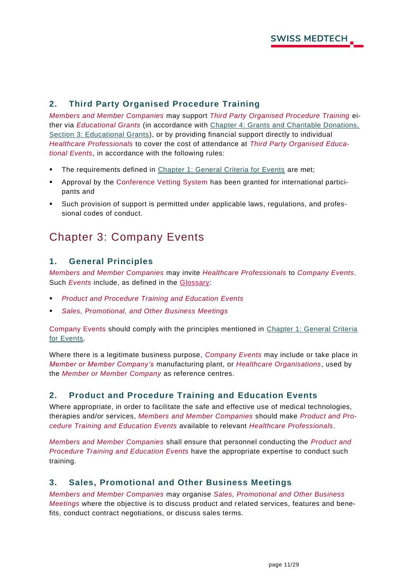#### <span id="page-11-0"></span>**2. Third Party Organised Procedure Training**

*Members and Member Companies* may support *Third Party Organised Procedure Training* either via *Educational Grants* (in accordance with [Chapter 4: Grants and Charitable Donations,](#page-14-0)  [Section 3: Educational Grants\)](#page-14-0), or by providing financial support directly to individual *Healthcare Professionals* to cover the cost of attendance at *Third Party Organised Educational Events*, in accordance with the following rules:

- The requirements defined in [Chapter 1: General Criteria for Events](#page-8-1) are met;
- Approval by the Conference Vetting System has been granted for international participants and
- Such provision of support is permitted under applicable laws, regulations, and professional codes of conduct.

## <span id="page-11-1"></span>Chapter 3: Company Events

#### <span id="page-11-2"></span>**1. General Principles**

*Members and Member Companies* may invite *Healthcare Professionals* to *Company Events*. Such *Events* include, as defined in the [Glossary:](#page-25-0)

- **Product and Procedure Training and Education Events**
- Sales, Promotional, and Other Business Meetings

Company Events should comply with the principles mentioned in [Chapter 1: General Criteria](#page-8-1)  [for Events.](#page-8-1)

Where there is a legitimate business purpose, *Company Events* may include or take place in *Member or Member Company's* manufacturing plant, or *Healthcare Organisations*, used by the *Member or Member Company* as reference centres.

#### <span id="page-11-3"></span>**2. Product and Procedure Training and Education Events**

Where appropriate, in order to facilitate the safe and effective use of medical technologies, therapies and/or services, *Members and Member Companies* should make *Product and Procedure Training and Education Events* available to relevant *Healthcare Professionals*.

*Members and Member Companies* shall ensure that personnel conducting the *Product and Procedure Training and Education Events* have the appropriate expertise to conduct such training.

#### <span id="page-11-4"></span>**3. Sales, Promotional and Other Business Meetings**

*Members and Member Companies* may organise *Sales, Promotional and Other Business Meetings* where the objective is to discuss product and related services, features and benefits, conduct contract negotiations, or discuss sales terms.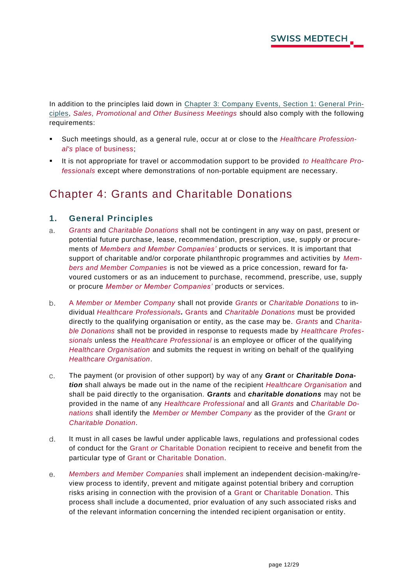In addition to the principles laid down in [Chapter 3: Company Events, Section 1: General](#page-11-2) Prin[ciples,](#page-11-2) *Sales, Promotional and Other Business Meetings* should also comply with the following requirements:

- Such meetings should, as a general rule, occur at or close to the *Healthcare Professional's* place of business;
- It is not appropriate for travel or accommodation support to be provided *to Healthcare Professionals* except where demonstrations of non-portable equipment are necessary.

## <span id="page-12-0"></span>Chapter 4: Grants and Charitable Donations

#### <span id="page-12-1"></span>**1. General Principles**

- $a<sub>1</sub>$ *Grants* and *Charitable Donations* shall not be contingent in any way on past, present or potential future purchase, lease, recommendation, prescription, use, supply or procurements of *Members and Member Companies'* products or services. It is important that support of charitable and/or corporate philanthropic programmes and activities by *Members and Member Companies* is not be viewed as a price concession, reward for favoured customers or as an inducement to purchase, recommend, prescribe, use, supply or procure *Member or Member Companies'* products or services.
- $b<sub>1</sub>$ A *Member or Member Company* shall not provide *Grants* or *Charitable Donations* to individual *Healthcare Professionals.* Grants and *Charitable Donations* must be provided directly to the qualifying organisation or entity, as the case may be. *Grants* and *Charitable Donations* shall not be provided in response to requests made by *Healthcare Professionals* unless the *Healthcare Professional* is an employee or officer of the qualifying *Healthcare Organisation* and submits the request in writing on behalf of the qualifying *Healthcare Organisation*.
- $C<sub>1</sub>$ The payment (or provision of other support) by way of any *Grant* or *Charitable Donation* shall always be made out in the name of the recipient *Healthcare Organisation* and shall be paid directly to the organisation. *Grants* and *charitable donations* may not be provided in the name of any *Healthcare Professional* and all *Grants* and *Charitable Donations* shall identify the *Member or Member Company* as the provider of the *Grant* or *Charitable Donation*.
- $d_{\cdot}$ It must in all cases be lawful under applicable laws, regulations and professional codes of conduct for the Grant *or* Charitable Donation recipient to receive and benefit from the particular type of Grant or Charitable Donation.
- *Members and Member Companies* shall implement an independent decision-making/re $e.$ view process to identify, prevent and mitigate against potential bribery and corruption risks arising in connection with the provision of a Grant or Charitable Donation. This process shall include a documented, prior evaluation of any such associated risks and of the relevant information concerning the intended rec ipient organisation or entity.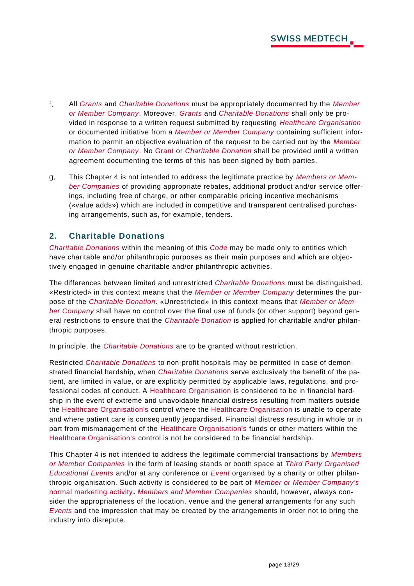- $f_{\perp}$ All *Grants* and *Charitable Donations* must be appropriately documented by the *Member or Member Company*. Moreover, *Grants* and *Charitable Donations* shall only be provided in response to a written request submitted by requesting *Healthcare Organisation* or documented initiative from a *Member or Member Company* containing sufficient information to permit an objective evaluation of the request to be carried out by the *Member or Member Company*. No Grant or *Charitable Donation* shall be provided until a written agreement documenting the terms of this has been signed by both parties.
- g. This Chapter 4 is not intended to address the legitimate practice by *Members or Member Companies* of providing appropriate rebates, additional product and/or service offerings, including free of charge, or other comparable pricing incentive mechanisms («value adds») which are included in competitive and transparent centralised purchasing arrangements, such as, for example, tenders.

#### <span id="page-13-0"></span>**2. Charitable Donations**

*Charitable Donations* within the meaning of this *Code* may be made only to entities which have charitable and/or philanthropic purposes as their main purposes and which are objectively engaged in genuine charitable and/or philanthropic activities.

The differences between limited and unrestricted *Charitable Donations* must be distinguished. «Restricted» in this context means that the *Member or Member Company* determines the purpose of the *Charitable Donation*. «Unrestricted» in this context means that *Member or Member Company* shall have no control over the final use of funds (or other support) beyond general restrictions to ensure that the *Charitable Donation* is applied for charitable and/or philanthropic purposes.

In principle, the *Charitable Donations* are to be granted without restriction.

Restricted *Charitable Donations* to non-profit hospitals may be permitted in case of demonstrated financial hardship, when *Charitable Donations* serve exclusively the benefit of the patient, are limited in value, or are explicitly permitted by applicable laws, regulations, and professional codes of conduct. A Healthcare Organisation is considered to be in financial hardship in the event of extreme and unavoidable financial distress resulting from matters outside the Healthcare Organisation's control where the Healthcare Organisation is unable to operate and where patient care is consequently jeopardised. Financial distress resulting in whole or in part from mismanagement of the Healthcare Organisation's funds or other matters within the Healthcare Organisation's control is not be considered to be financial hardship.

This Chapter 4 is not intended to address the legitimate commercial transactions by *Members or Member Companies* in the form of leasing stands or booth space at *Third Party Organised Educational Events* and/or at any conference or *Event* organised by a charity or other philanthropic organisation. Such activity is considered to be part of *Member or Member Company's*  normal marketing activity**.** *Members and Member Companies* should, however, always consider the appropriateness of the location, venue and the general arrangements for any such *Events* and the impression that may be created by the arrangements in order not to bring the industry into disrepute.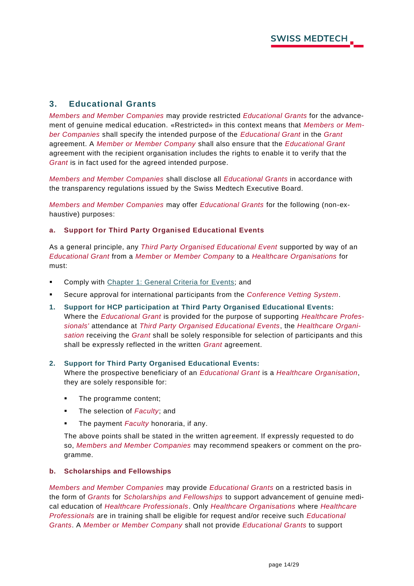#### <span id="page-14-0"></span>**3. Educational Grants**

*Members and Member Companies* may provide restricted *Educational Grants* for the advancement of genuine medical education. «Restricted» in this context means that *Members or Member Companies* shall specify the intended purpose of the *Educational Grant* in the *Grant* agreement. A *Member or Member Company* shall also ensure that the *Educational Grant* agreement with the recipient organisation includes the rights to enable it to verify that the *Grant* is in fact used for the agreed intended purpose.

*Members and Member Companies* shall disclose all *Educational Grants* in accordance with the transparency regulations issued by the Swiss Medtech Executive Board.

*Members and Member Companies* may offer *Educational Grants* for the following (non-exhaustive) purposes:

#### **a. Support for Third Party Organised Educational Events**

As a general principle, any *Third Party Organised Educational Event* supported by way of an *Educational Grant* from a *Member or Member Company* to a *Healthcare Organisations* for must:

- **EXECOMPLED FOR THE COMPT COMPTS IN STARK COMPTS COMPTS COMPTS FOR THE COMPTS COMPTS COMPTS COMPTS**
- Secure approval for international participants from the *Conference Vetting System*.
- **1. Support for HCP participation at Third Party Organised Educational Events:** Where the *Educational Grant* is provided for the purpose of supporting *Healthcare Professionals'* attendance at *Third Party Organised Educational Events*, the *Healthcare Organisation* receiving the *Grant* shall be solely responsible for selection of participants and this shall be expressly reflected in the written *Grant* agreement.

#### **2. Support for Third Party Organised Educational Events:**

Where the prospective beneficiary of an *Educational Grant* is a *Healthcare Organisation*, they are solely responsible for:

- The programme content;
- The selection of *Faculty*; and
- The payment *Faculty* honoraria, if any.

The above points shall be stated in the written agreement. If expressly requested to do so, *Members and Member Companies* may recommend speakers or comment on the programme.

#### **b. Scholarships and Fellowships**

*Members and Member Companies* may provide *Educational Grants* on a restricted basis in the form of *Grants* for *Scholarships and Fellowships* to support advancement of genuine medical education of *Healthcare Professionals*. Only *Healthcare Organisations* where *Healthcare Professionals* are in training shall be eligible for request and/or receive such *Educational Grants*. A *Member or Member Company* shall not provide *Educational Grants* to support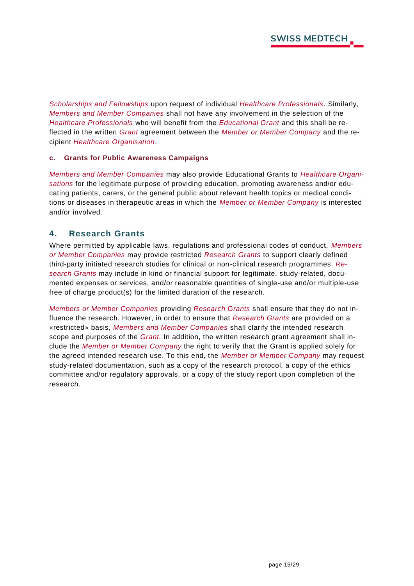*Scholarships and Fellowships* upon request of individual *Healthcare Professionals*. Similarly, *Members and Member Companies* shall not have any involvement in the selection of the *Healthcare Professionals* who will benefit from the *Educational Grant* and this shall be reflected in the written *Grant* agreement between the *Member or Member Company* and the recipient *Healthcare Organisation*.

#### **c. Grants for Public Awareness Campaigns**

*Members and Member Companies* may also provide Educational Grants to *Healthcare Organisations* for the legitimate purpose of providing education, promoting awareness and/or educating patients, carers, or the general public about relevant health topics or medical conditions or diseases in therapeutic areas in which the *Member or Member Company* is interested and/or involved.

#### <span id="page-15-0"></span>**4. Research Grants**

Where permitted by applicable laws, regulations and professional codes of conduct, *Members or Member Companies* may provide restricted *Research Grants* to support clearly defined third-party initiated research studies for clinical or non-clinical research programmes. *Research Grants* may include in kind or financial support for legitimate, study-related, documented expenses or services, and/or reasonable quantities of single-use and/or multiple-use free of charge product(s) for the limited duration of the research.

*Members or Member Companies* providing *Research Grants* shall ensure that they do not influence the research. However, in order to ensure that *Research Grants* are provided on a «restricted» basis, *Members and Member Companies* shall clarify the intended research scope and purposes of the *Grant.* In addition, the written research grant agreement shall include the *Member or Member Company* the right to verify that the Grant is applied solely for the agreed intended research use. To this end, the *Member or Member Company* may request study-related documentation, such as a copy of the research protocol, a copy of the ethics committee and/or regulatory approvals, or a copy of the study report upon completion of the research.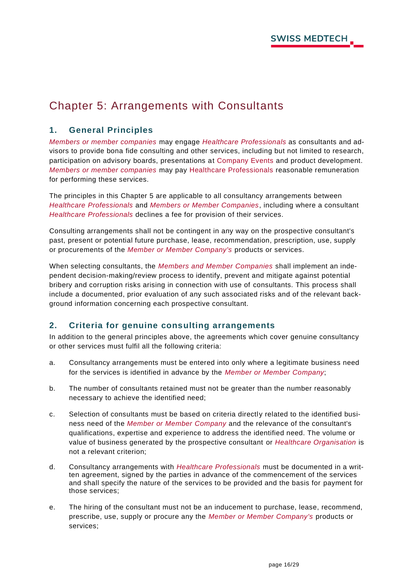# <span id="page-16-0"></span>Chapter 5: Arrangements with Consultants

#### <span id="page-16-1"></span>**1. General Principles**

*Members or member companies* may engage *Healthcare Professionals* as consultants and advisors to provide bona fide consulting and other services, including but not limited to research, participation on advisory boards, presentations at Company Events and product development. *Members or member companies* may pay Healthcare Professionals reasonable remuneration for performing these services.

The principles in this Chapter 5 are applicable to all consultancy arrangements between *Healthcare Professionals* and *Members or Member Companies*, including where a consultant *Healthcare Professionals* declines a fee for provision of their services.

Consulting arrangements shall not be contingent in any way on the prospective consultant's past, present or potential future purchase, lease, recommendation, prescription, use, supply or procurements of the *Member or Member Company's* products or services.

When selecting consultants, the *Members and Member Companies* shall implement an independent decision-making/review process to identify, prevent and mitigate against potential bribery and corruption risks arising in connection with use of consultants. This process shall include a documented, prior evaluation of any such associated risks and of the relevant background information concerning each prospective consultant.

#### <span id="page-16-2"></span>**2. Criteria for genuine consulting arrangements**

In addition to the general principles above, the agreements which cover genuine consultancy or other services must fulfil all the following criteria:

- a. Consultancy arrangements must be entered into only where a legitimate business need for the services is identified in advance by the *Member or Member Company*;
- b. The number of consultants retained must not be greater than the number reasonably necessary to achieve the identified need;
- c. Selection of consultants must be based on criteria directly related to the identified business need of the *Member or Member Company* and the relevance of the consultant's qualifications, expertise and experience to address the identified need. The volume or value of business generated by the prospective consultant or *Healthcare Organisation* is not a relevant criterion;
- d. Consultancy arrangements with *Healthcare Professionals* must be documented in a written agreement, signed by the parties in advance of the commencement of the services and shall specify the nature of the services to be provided and the basis for payment for those services;
- e. The hiring of the consultant must not be an inducement to purchase, lease, recommend, prescribe, use, supply or procure any the *Member or Member Company's* products or services;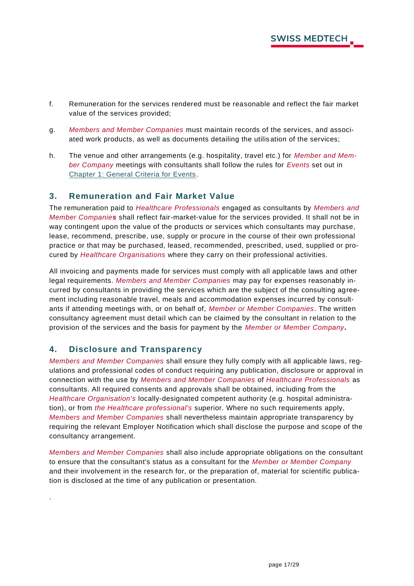- f. Remuneration for the services rendered must be reasonable and reflect the fair market value of the services provided;
- g. *Members and Member Companies* must maintain records of the services, and associated work products, as well as documents detailing the utilisation of the services;
- h. The venue and other arrangements (e.g. hospitality, travel etc.) for *Member and Member Company* meetings with consultants shall follow the rules for *Events* set out in [Chapter 1: General Criteria for Events.](#page-8-1)

#### <span id="page-17-0"></span>**3. Remuneration and Fair Market Value**

The remuneration paid to *Healthcare Professionals* engaged as consultants by *Members and Member Companies* shall reflect fair-market-value for the services provided. It shall not be in way contingent upon the value of the products or services which consultants may purchase, lease, recommend, prescribe, use, supply or procure in the course of their own professional practice or that may be purchased, leased, recommended, prescribed, used, supplied or procured by *Healthcare Organisations* where they carry on their professional activities.

All invoicing and payments made for services must comply with all applicable laws and other legal requirements. *Members and Member Companies* may pay for expenses reasonably incurred by consultants in providing the services which are the subject of the consulting agreement including reasonable travel, meals and accommodation expenses incurred by consultants if attending meetings with, or on behalf of, *Member or Member Companies*. The written consultancy agreement must detail which can be claimed by the consultant in relation to the provision of the services and the basis for payment by the *Member or Member Company***.**

#### <span id="page-17-1"></span>**4. Disclosure and Transparency**

.

*Members and Member Companies* shall ensure they fully comply with all applicable laws, regulations and professional codes of conduct requiring any publication, disclosure or approval in connection with the use by *Members and Member Companies* of *Healthcare Professionals* as consultants. All required consents and approvals shall be obtained, including from the *Healthcare Organisation's* locally-designated competent authority (e.g. hospital administration), or from *the Healthcare professional's* superior. Where no such requirements apply, *Members and Member Companies* shall nevertheless maintain appropriate transparency by requiring the relevant Employer Notification which shall disclose the purpose and scope of the consultancy arrangement.

*Members and Member Companies* shall also include appropriate obligations on the consultant to ensure that the consultant's status as a consultant for the *Member or Member Company* and their involvement in the research for, or the preparation of, material for scientific publication is disclosed at the time of any publication or presentation.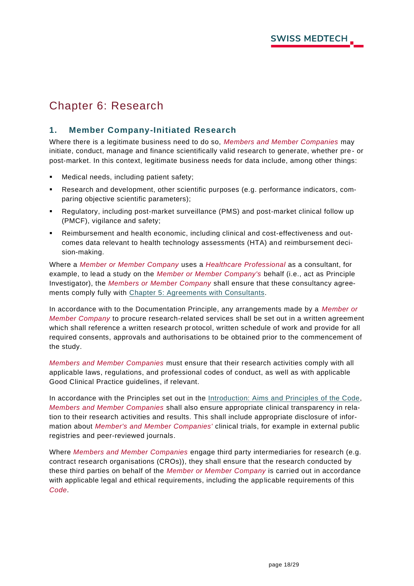# <span id="page-18-0"></span>Chapter 6: Research

#### <span id="page-18-1"></span>**1. Member Company-Initiated Research**

Where there is a legitimate business need to do so, *Members and Member Companies* may initiate, conduct, manage and finance scientifically valid research to generate, whether pre - or post-market. In this context, legitimate business needs for data include, among other things:

- Medical needs, including patient safety;
- Research and development, other scientific purposes (e.g. performance indicators, comparing objective scientific parameters);
- Regulatory, including post-market surveillance (PMS) and post-market clinical follow up (PMCF), vigilance and safety;
- Reimbursement and health economic, including clinical and cost-effectiveness and outcomes data relevant to health technology assessments (HTA) and reimbursement decision-making.

Where a *Member or Member Company* uses a *Healthcare Professional* as a consultant, for example, to lead a study on the *Member or Member Company's* behalf (i.e., act as Principle Investigator), the *Members or Member Company* shall ensure that these consultancy agreements comply fully with Chapter [5: Agreements with Consultants.](#page-16-0)

In accordance with to the Documentation Principle, any arrangements made by a *Member or Member Company* to procure research-related services shall be set out in a written agreement which shall reference a written research protocol, written schedule of work and provide for all required consents, approvals and authorisations to be obtained prior to the commencement of the study.

*Members and Member Companies* must ensure that their research activities comply with all applicable laws, regulations, and professional codes of conduct, as well as with applicable Good Clinical Practice guidelines, if relevant.

In accordance with the Principles set out in the [Introduction: Aims and Principles of the Code,](#page-5-0) *Members and Member Companies* shall also ensure appropriate clinical transparency in relation to their research activities and results. This shall include appropriate disclosure of information about *Member's and Member Companies'* clinical trials, for example in external public registries and peer-reviewed journals.

Where *Members and Member Companies* engage third party intermediaries for research (e.g. contract research organisations (CROs)), they shall ensure that the research conducted by these third parties on behalf of the *Member or Member Company* is carried out in accordance with applicable legal and ethical requirements, including the applicable requirements of this *Code*.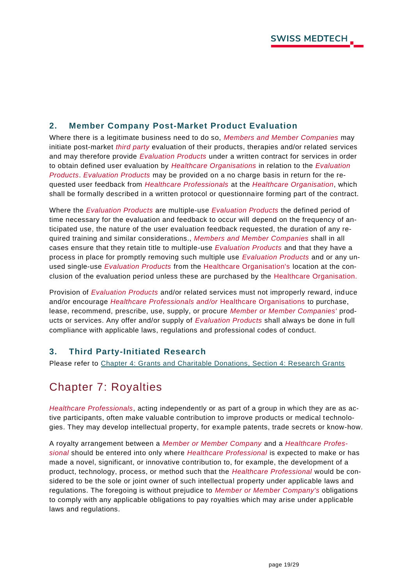#### <span id="page-19-0"></span>**2. Member Company Post-Market Product Evaluation**

Where there is a legitimate business need to do so, *Members and Member Companies* may initiate post-market *third party* evaluation of their products, therapies and/or related services and may therefore provide *Evaluation Products* under a written contract for services in order to obtain defined user evaluation by *Healthcare Organisations* in relation to the *Evaluation Products*. *Evaluation Products* may be provided on a no charge basis in return for the requested user feedback from *Healthcare Professionals* at the *Healthcare Organisation*, which shall be formally described in a written protocol or questionnaire forming part of the contract.

Where the *Evaluation Products* are multiple-use *Evaluation Products* the defined period of time necessary for the evaluation and feedback to occur will depend on the frequency of anticipated use, the nature of the user evaluation feedback requested, the duration of any required training and similar considerations., *Members and Member Companies* shall in all cases ensure that they retain title to multiple-use *Evaluation Products* and that they have a process in place for promptly removing such multiple use *Evaluation Products* and or any unused single-use *Evaluation Products* from the Healthcare Organisation's location at the conclusion of the evaluation period unless these are purchased by the Healthcare Organisation.

Provision of *Evaluation Products* and/or related services must not improperly reward, induce and/or encourage *Healthcare Professionals and/or* Healthcare Organisations to purchase, lease, recommend, prescribe, use, supply, or procure *Member or Member Companies'* products or services. Any offer and/or supply of *Evaluation Products* shall always be done in full compliance with applicable laws, regulations and professional codes of conduct.

#### <span id="page-19-1"></span>**3. Third Party-Initiated Research**

Please refer to [Chapter 4: Grants and Charitable Donations, Section 4: Research Grants](#page-15-0)

# <span id="page-19-2"></span>Chapter 7: Royalties

*Healthcare Professionals*, acting independently or as part of a group in which they are as active participants, often make valuable contribution to improve products or medical technologies. They may develop intellectual property, for example patents, trade secrets or know-how.

A royalty arrangement between a *Member or Member Company* and a *Healthcare Professional* should be entered into only where *Healthcare Professional* is expected to make or has made a novel, significant, or innovative contribution to, for example, the development of a product, technology, process, or method such that the *Healthcare Professional* would be considered to be the sole or joint owner of such intellectual property under applicable laws and regulations. The foregoing is without prejudice to *Member or Member Company's* obligations to comply with any applicable obligations to pay royalties which may arise under a pplicable laws and regulations.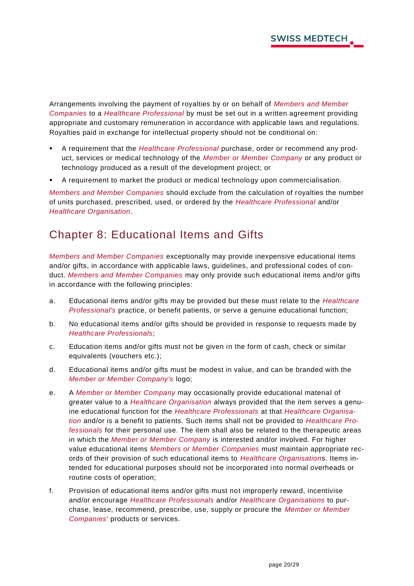Arrangements involving the payment of royalties by or on behalf of *Members and Member Companies* to a *Healthcare Professional* by must be set out in a written agreement providing appropriate and customary remuneration in accordance with applicable laws and regulations. Royalties paid in exchange for intellectual property should not be conditional on:

- A requirement that the *Healthcare Professional* purchase, order or recommend any product, services or medical technology of the *Member or Member Company* or any product or technology produced as a result of the development project; or
- A requirement to market the product or medical technology upon commercialisation.

*Members and Member Companies* should exclude from the calculation of royalties the number of units purchased, prescribed, used, or ordered by the *Healthcare Professional* and/or *Healthcare Organisation*.

## <span id="page-20-0"></span>Chapter 8: Educational Items and Gifts

*Members and Member Companies* exceptionally may provide inexpensive educational items and/or gifts, in accordance with applicable laws, guidelines, and professional codes of conduct. *Members and Member Companies* may only provide such educational items and/or gifts in accordance with the following principles:

- a. Educational items and/or gifts may be provided but these must relate to the *Healthcare Professional's* practice, or benefit patients, or serve a genuine educational function;
- b. No educational items and/or gifts should be provided in response to requests made by *Healthcare Professionals*;
- c. Education items and/or gifts must not be given in the form of cash, check or similar equivalents (vouchers etc.);
- d. Educational items and/or gifts must be modest in value, and can be branded with the *Member or Member Company's* logo;
- e. A *Member or Member Company* may occasionally provide educational material of greater value to a *Healthcare Organisation* always provided that the item serves a genuine educational function for the *Healthcare Professionals* at that *Healthcare Organisation* and/or is a benefit to patients. Such items shall not be provided to *Healthcare Professionals* for their personal use. The item shall also be related to the therapeutic areas in which the *Member or Member Company* is interested and/or involved. For higher value educational items *Members or Member Companies* must maintain appropriate records of their provision of such educational items to *Healthcare Organisation*s. Items intended for educational purposes should not be incorporated into normal overheads or routine costs of operation;
- f. Provision of educational items and/or gifts must not improperly reward, incentivise and/or encourage *Healthcare Professionals* and/or *Healthcare Organisations* to purchase, lease, recommend, prescribe, use, supply or procure the *Member or Member Companies'* products or services.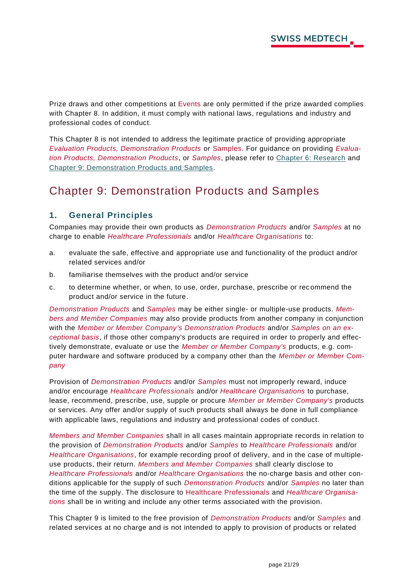Prize draws and other competitions at Events are only permitted if the prize awarded complies with Chapter 8. In addition, it must comply with national laws, regulations and industry and professional codes of conduct.

This Chapter 8 is not intended to address the legitimate practice of providing appropriate *Evaluation Products, Demonstration Products* or Samples. For guidance on providing *Evaluation Products, Demonstration Products*, or *Samples*, please refer to [Chapter 6: Research](#page-18-0) and Chapter [9: Demonstration Products and Samples.](#page-21-0)

# <span id="page-21-0"></span>Chapter 9: Demonstration Products and Samples

#### <span id="page-21-1"></span>**1. General Principles**

Companies may provide their own products as *Demonstration Products* and/or *Samples* at no charge to enable *Healthcare Professionals* and/or *Healthcare Organisations* to:

- a. evaluate the safe, effective and appropriate use and functionality of the product and/or related services and/or
- b. familiarise themselves with the product and/or service
- c. to determine whether, or when, to use, order, purchase, prescribe or rec ommend the product and/or service in the future.

*Demonstration Products* and *Samples* may be either single- or multiple-use products. *Members and Member Companies* may also provide products from another company in conjunction with the *Member or Member Company's Demonstration Products* and/or *Samples on an exceptional basis*, if those other company's products are required in order to properly and effectively demonstrate, evaluate or use the *Member or Member Company's* products, e.g. computer hardware and software produced by a company other than the *Member or Member Company*

Provision of *Demonstration Products* and/or *Samples* must not improperly reward, induce and/or encourage *Healthcare Professionals* and/or *Healthcare Organisations* to purchase, lease, recommend, prescribe, use, supple or procure *Member or Member Company's* products or services. Any offer and/or supply of such products shall always be done in full compliance with applicable laws, regulations and industry and professional codes of conduct.

*Members and Member Companies* shall in all cases maintain appropriate records in relation to the provision of *Demonstration Products* and/or *Samples* to *Healthcare Professionals* and/or *Healthcare Organisations*, for example recording proof of delivery, and in the case of multipleuse products, their return. *Members and Member Companies* shall clearly disclose to *Healthcare Professionals* and/or *Healthcare Organisations* the no-charge basis and other conditions applicable for the supply of such *Demonstration Products* and/or *Samples* no later than the time of the supply. The disclosure to Healthcare Professionals and *Healthcare Organisations* shall be in writing and include any other terms associated with the provision.

This Chapter 9 is limited to the free provision of *Demonstration Products* and/or *Samples* and related services at no charge and is not intended to apply to provision of products or related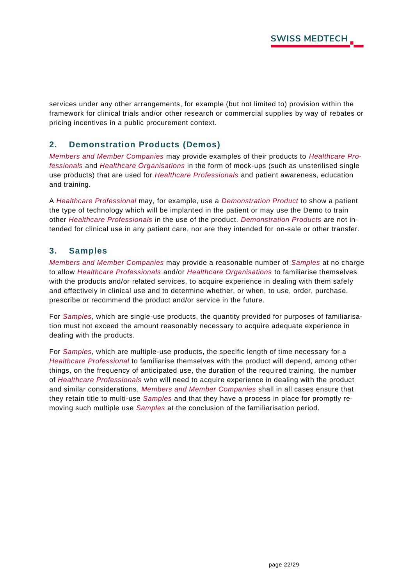services under any other arrangements, for example (but not limited to) provision within the framework for clinical trials and/or other research or commercial supplies by way of rebates or pricing incentives in a public procurement context.

#### <span id="page-22-0"></span>**2. Demonstration Products (Demos)**

*Members and Member Companies* may provide examples of their products to *Healthcare Professionals* and *Healthcare Organisations* in the form of mock-ups (such as unsterilised single use products) that are used for *Healthcare Professionals* and patient awareness, education and training.

A *Healthcare Professional* may, for example, use a *Demonstration Product* to show a patient the type of technology which will be implanted in the patient or may use the Demo to train other *Healthcare Professionals* in the use of the product. *Demonstration Products* are not intended for clinical use in any patient care, nor are they intended for on-sale or other transfer.

#### <span id="page-22-1"></span>**3. Samples**

*Members and Member Companies* may provide a reasonable number of *Samples* at no charge to allow *Healthcare Professionals* and/or *Healthcare Organisations* to familiarise themselves with the products and/or related services, to acquire experience in dealing with them safely and effectively in clinical use and to determine whether, or when, to use, order, purchase, prescribe or recommend the product and/or service in the future.

For *Samples*, which are single-use products, the quantity provided for purposes of familiarisation must not exceed the amount reasonably necessary to acquire adequate experience in dealing with the products.

For *Samples*, which are multiple-use products, the specific length of time necessary for a *Healthcare Professional* to familiarise themselves with the product will depend, among other things, on the frequency of anticipated use, the duration of the required training, the number of *Healthcare Professionals* who will need to acquire experience in dealing with the product and similar considerations. *Members and Member Companies* shall in all cases ensure that they retain title to multi-use *Samples* and that they have a process in place for promptly removing such multiple use *Samples* at the conclusion of the familiarisation period.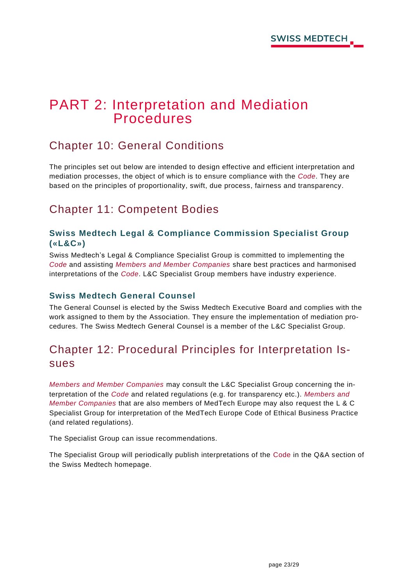# <span id="page-23-0"></span>PART 2: Interpretation and Mediation **Procedures**

# <span id="page-23-1"></span>Chapter 10: General Conditions

The principles set out below are intended to design effective and efficient interpretation and mediation processes, the object of which is to ensure compliance with the *Code*. They are based on the principles of proportionality, swift, due process, fairness and transparency.

# <span id="page-23-2"></span>Chapter 11: Competent Bodies

#### <span id="page-23-3"></span>**Swiss Medtech Legal & Compliance Commission Specialist Group («L&C»)**

Swiss Medtech's Legal & Compliance Specialist Group is committed to implementing the *Code* and assisting *Members and Member Companies* share best practices and harmonised interpretations of the *Code*. L&C Specialist Group members have industry experience.

#### <span id="page-23-4"></span>**Swiss Medtech General Counsel**

The General Counsel is elected by the Swiss Medtech Executive Board and complies with the work assigned to them by the Association. They ensure the implementation of mediation procedures. The Swiss Medtech General Counsel is a member of the L&C Specialist Group.

# <span id="page-23-5"></span>Chapter 12: Procedural Principles for Interpretation Issues

*Members and Member Companies* may consult the L&C Specialist Group concerning the interpretation of the *Code* and related regulations (e.g. for transparency etc.). *Members and Member Companies* that are also members of MedTech Europe may also request the L & C Specialist Group for interpretation of the MedTech Europe Code of Ethical Business Practice (and related regulations).

The Specialist Group can issue recommendations.

The Specialist Group will periodically publish interpretations of the Code in the Q&A section of the Swiss Medtech homepage.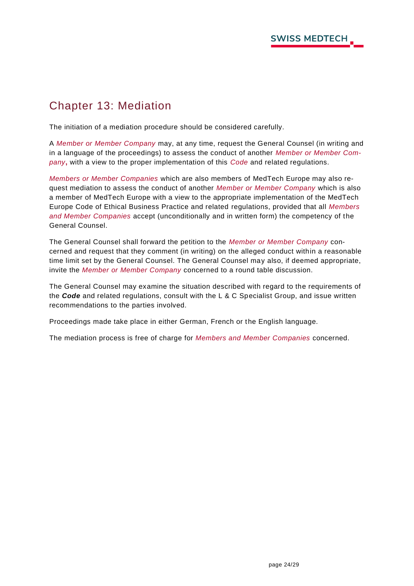# <span id="page-24-0"></span>Chapter 13: Mediation

The initiation of a mediation procedure should be considered carefully.

A *Member or Member Company* may, at any time, request the General Counsel (in writing and in a language of the proceedings) to assess the conduct of another *Member or Member Company***,** with a view to the proper implementation of this *Code* and related regulations.

*Members or Member Companies* which are also members of MedTech Europe may also request mediation to assess the conduct of another *Member or Member Company* which is also a member of MedTech Europe with a view to the appropriate implementation of the MedTech Europe Code of Ethical Business Practice and related regulations, provided that all *Members and Member Companies* accept (unconditionally and in written form) the competency of the General Counsel.

The General Counsel shall forward the petition to the *Member or Member Company* concerned and request that they comment (in writing) on the alleged conduct within a reasonable time limit set by the General Counsel. The General Counsel may also, if deemed appropriate, invite the *Member or Member Company* concerned to a round table discussion.

The General Counsel may examine the situation described with regard to the requirements of the *Code* and related regulations, consult with the L & C Specialist Group, and issue written recommendations to the parties involved.

Proceedings made take place in either German, French or the English language.

The mediation process is free of charge for *Members and Member Companies* concerned.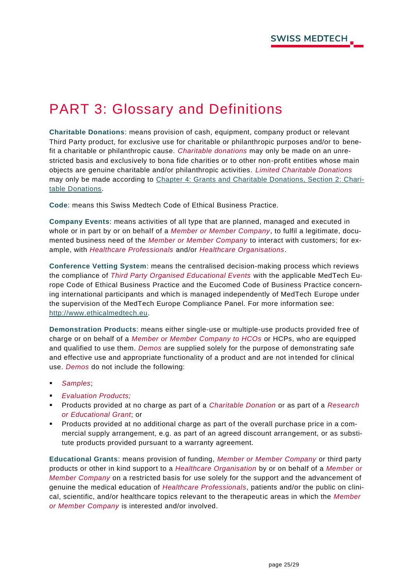# <span id="page-25-0"></span>PART 3: Glossary and Definitions

**Charitable Donations**: means provision of cash, equipment, company product or relevant Third Party product, for exclusive use for charitable or philanthropic purposes and/or to benefit a charitable or philanthropic cause. *Charitable donations* may only be made on an unrestricted basis and exclusively to bona fide charities or to other non-profit entities whose main objects are genuine charitable and/or philanthropic activities. *Limited Charitable Donations* may only be made according to Chapter 4: Grants and [Charitable Donations, Section 2: Chari](#page-13-0)[table Donations.](#page-13-0)

**Code**: means this Swiss Medtech Code of Ethical Business Practice.

**Company Events**: means activities of all type that are planned, managed and executed in whole or in part by or on behalf of a *Member or Member Company*, to fulfil a legitimate, documented business need of the *Member or Member Company* to interact with customers; for example, with *Healthcare Professionals* and/or *Healthcare Organisations*.

**Conference Vetting System**: means the centralised decision-making process which reviews the compliance of *Third Party Organised Educational Events* with the applicable MedTech Europe Code of Ethical Business Practice and the Eucomed Code of Business Practice concerning international participants and which is managed independently of MedTech Europe under the supervision of the MedTech Europe Compliance Panel. For more information see: [http://www.ethicalmedtech.eu.](http://www.ethicalmedtech.eu/)

**Demonstration Products**: means either single-use or multiple-use products provided free of charge or on behalf of a *Member or Member Company to HCOs* or HCPs, who are equipped and qualified to use them. *Demos* are supplied solely for the purpose of demonstrating safe and effective use and appropriate functionality of a product and are not in tended for clinical use. *Demos* do not include the following:

- *Samples*;
- **Evaluation Products;**
- Products provided at no charge as part of a *Charitable Donation* or as part of a *Research or Educational Grant*; or
- Products provided at no additional charge as part of the overall purchase price in a commercial supply arrangement, e.g. as part of an agreed discount arrangement, or as substitute products provided pursuant to a warranty agreement.

**Educational Grants**: means provision of funding, *Member or Member Company* or third party products or other in kind support to a *Healthcare Organisation* by or on behalf of a *Member or Member Company* on a restricted basis for use solely for the support and the advancement of genuine the medical education of *Healthcare Professionals*, patients and/or the public on clinical, scientific, and/or healthcare topics relevant to the therapeutic areas in which the *Member or Member Company* is interested and/or involved.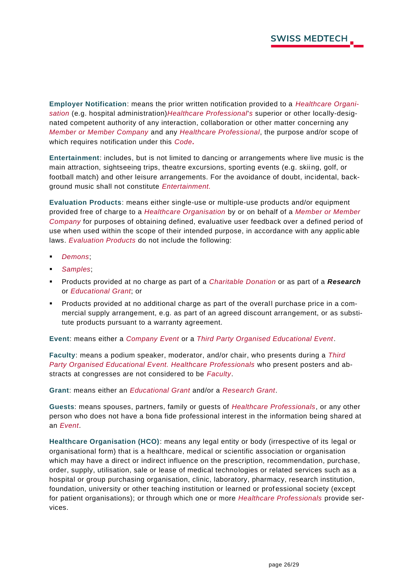**Employer Notification**: means the prior written notification provided to a *Healthcare Organisation* (e.g. hospital administration)*Healthcare Professional*'*s* superior or other locally-designated competent authority of any interaction, collaboration or other matter concerning any *Member or Member Company* and any *Healthcare Professional*, the purpose and/or scope of which requires notification under this *Code***.**

**Entertainment**: includes, but is not limited to dancing or arrangements where live music is the main attraction, sightseeing trips, theatre excursions, sporting events (e.g. skiing, golf, or football match) and other leisure arrangements. For the avoidance of doubt, incidental, background music shall not constitute *Entertainment.*

**Evaluation Products**: means either single-use or multiple-use products and/or equipment provided free of charge to a *Healthcare Organisation* by or on behalf of a *Member or Member Company* for purposes of obtaining defined, evaluative user feedback over a defined period of use when used within the scope of their intended purpose, in accordance with any applic able laws. *Evaluation Products* do not include the following:

- Demons;
- *Samples*;
- Products provided at no charge as part of a *Charitable Donation* or as part of a *Research* or *Educational Grant*; or
- Products provided at no additional charge as part of the overall purchase price in a commercial supply arrangement, e.g. as part of an agreed discount arrangement, or as substitute products pursuant to a warranty agreement.

**Event**: means either a *Company Event* or a *Third Party Organised Educational Event*.

**Faculty**: means a podium speaker, moderator, and/or chair, who presents during a *Third Party Organised Educational Event. Healthcare Professionals* who present posters and abstracts at congresses are not considered to be *Faculty*.

**Grant**: means either an *Educational Grant* and/or a *Research Grant*.

**Guests**: means spouses, partners, family or guests of *Healthcare Professionals*, or any other person who does not have a bona fide professional interest in the information being shared at an *Event*.

**Healthcare Organisation (HCO)**: means any legal entity or body (irrespective of its legal or organisational form) that is a healthcare, medical or scientific association or organisation which may have a direct or indirect influence on the prescription, recommendation, purchase, order, supply, utilisation, sale or lease of medical technologies or related services such as a hospital or group purchasing organisation, clinic, laboratory, pharmacy, research institution, foundation, university or other teaching institution or learned or prof essional society (except for patient organisations); or through which one or more *Healthcare Professionals* provide services.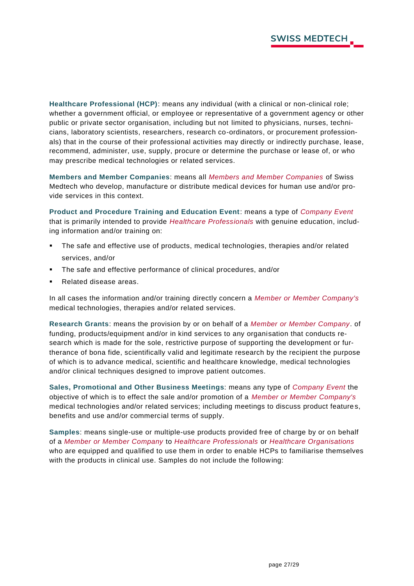**Healthcare Professional (HCP)**: means any individual (with a clinical or non-clinical role; whether a government official, or employee or representative of a government agency or other public or private sector organisation, including but not limited to physicians, nurses, technicians, laboratory scientists, researchers, research co-ordinators, or procurement professionals) that in the course of their professional activities may directly or indirectly purchase, lease, recommend, administer, use, supply, procure or determine the purchase or lease of, or who may prescribe medical technologies or related services.

**Members and Member Companies**: means all *Members and Member Companies* of Swiss Medtech who develop, manufacture or distribute medical devices for human use and/or provide services in this context.

**Product and Procedure Training and Education Event**: means a type of *Company Event* that is primarily intended to provide *Healthcare Professionals* with genuine education, including information and/or training on:

- The safe and effective use of products, medical technologies, therapies and/or related services, and/or
- The safe and effective performance of clinical procedures, and/or
- Related disease areas.

In all cases the information and/or training directly concern a *Member or Member Company's* medical technologies, therapies and/or related services.

**Research Grants**: means the provision by or on behalf of a *Member or Member Company*. of funding, products/equipment and/or in kind services to any organisation that conducts research which is made for the sole, restrictive purpose of supporting the development or furtherance of bona fide, scientifically valid and legitimate research by the recipient the purpose of which is to advance medical, scientific and healthcare knowledge, medical technologies and/or clinical techniques designed to improve patient outcomes.

**Sales, Promotional and Other Business Meetings**: means any type of *Company Event* the objective of which is to effect the sale and/or promotion of a *Member or Member Company's* medical technologies and/or related services; including meetings to discuss product feature s, benefits and use and/or commercial terms of supply.

**Samples**: means single-use or multiple-use products provided free of charge by or on behalf of a *Member or Member Company* to *Healthcare Professionals* or *Healthcare Organisations* who are equipped and qualified to use them in order to enable HCPs to familiarise themselves with the products in clinical use. Samples do not include the following: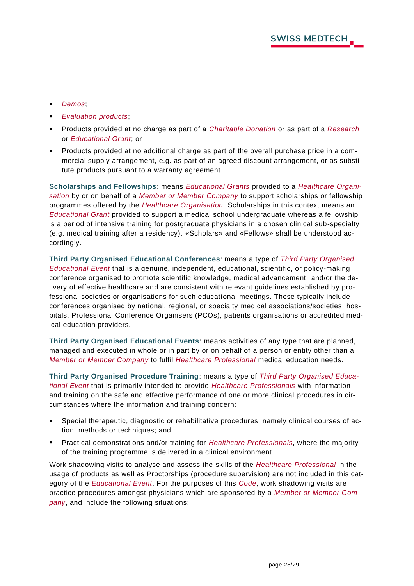- *Demos*;
- *Evaluation products;*
- Products provided at no charge as part of a *Charitable Donation* or as part of a *Research* or *Educational Grant*; or
- Products provided at no additional charge as part of the overall purchase price in a commercial supply arrangement, e.g. as part of an agreed discount arrangement, or as substitute products pursuant to a warranty agreement.

**Scholarships and Fellowships**: means *Educational Grants* provided to a *Healthcare Organisation* by or on behalf of a *Member or Member Company* to support scholarships or fellowship programmes offered by the *Healthcare Organisation*. Scholarships in this context means an *Educational Grant* provided to support a medical school undergraduate whereas a fellowship is a period of intensive training for postgraduate physicians in a chosen clinical sub-specialty (e.g. medical training after a residency). «Scholars» and «Fellows» shall be understood accordingly.

**Third Party Organised Educational Conferences**: means a type of *Third Party Organised Educational Event* that is a genuine, independent, educational, scientific, or policy-making conference organised to promote scientific knowledge, medical advancement, and/or the delivery of effective healthcare and are consistent with relevant guidelines established by professional societies or organisations for such educational meetings. These typically include conferences organised by national, regional, or specialty medical associations/societies, hospitals, Professional Conference Organisers (PCOs), patients organisations or accredited medical education providers.

**Third Party Organised Educational Events**: means activities of any type that are planned, managed and executed in whole or in part by or on behalf of a person or entity other than a *Member or Member Company* to fulfil *Healthcare Professional* medical education needs.

**Third Party Organised Procedure Training**: means a type of *Third Party Organised Educational Event* that is primarily intended to provide *Healthcare Professionals* with information and training on the safe and effective performance of one or more clinical procedures in circumstances where the information and training concern:

- Special therapeutic, diagnostic or rehabilitative procedures; namely clinical courses of action, methods or techniques; and
- Practical demonstrations and/or training for *Healthcare Professionals*, where the majority of the training programme is delivered in a clinical environment.

Work shadowing visits to analyse and assess the skills of the *Healthcare Professional* in the usage of products as well as Proctorships (procedure supervision) are not included in this category of the *Educational Event*. For the purposes of this *Code*, work shadowing visits are practice procedures amongst physicians which are sponsored by a *Member or Member Company*, and include the following situations: